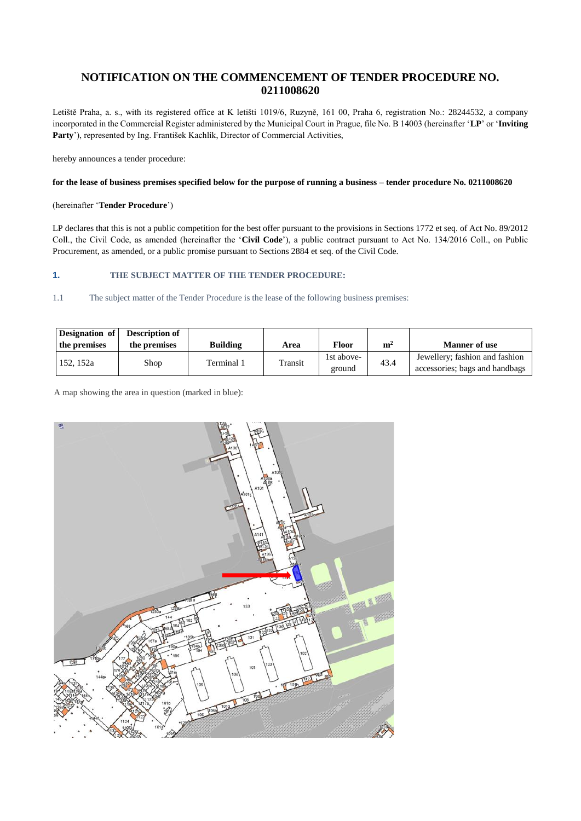# **NOTIFICATION ON THE COMMENCEMENT OF TENDER PROCEDURE NO. 0211008620**

Letiště Praha, a. s., with its registered office at K letišti 1019/6, Ruzyně, 161 00, Praha 6, registration No.: 28244532, a company incorporated in the Commercial Register administered by the Municipal Court in Prague, file No. B 14003 (hereinafter '**LP**' or '**Inviting Party**'), represented by Ing. František Kachlík, Director of Commercial Activities,

hereby announces a tender procedure:

### **for the lease of business premises specified below for the purpose of running a business – tender procedure No. 0211008620**

### (hereinafter '**Tender Procedure**')

LP declares that this is not a public competition for the best offer pursuant to the provisions in Sections 1772 et seq. of Act No. 89/2012 Coll., the Civil Code, as amended (hereinafter the '**Civil Code**'), a public contract pursuant to Act No. 134/2016 Coll., on Public Procurement, as amended, or a public promise pursuant to Sections 2884 et seq. of the Civil Code.

# **1. THE SUBJECT MATTER OF THE TENDER PROCEDURE:**

1.1 The subject matter of the Tender Procedure is the lease of the following business premises:

| Designation of<br>the premises | <b>Description of</b><br>the premises | <b>Building</b> | Area    | Floor                | m <sup>2</sup> | <b>Manner of use</b>                                             |
|--------------------------------|---------------------------------------|-----------------|---------|----------------------|----------------|------------------------------------------------------------------|
| 152, 152a                      | Shop                                  | Terminal 1      | Transit | 1st above-<br>ground | 43.4           | Jewellery; fashion and fashion<br>accessories; bags and handbags |

A map showing the area in question (marked in blue):

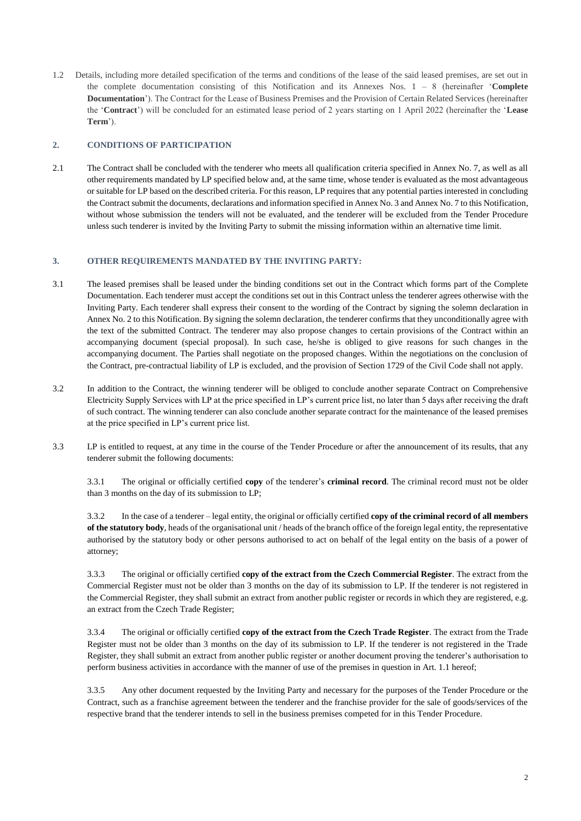1.2 Details, including more detailed specification of the terms and conditions of the lease of the said leased premises, are set out in the complete documentation consisting of this Notification and its Annexes Nos. 1 – 8 (hereinafter '**Complete Documentation**'). The Contract for the Lease of Business Premises and the Provision of Certain Related Services (hereinafter the '**Contract**') will be concluded for an estimated lease period of 2 years starting on 1 April 2022 (hereinafter the '**Lease Term**').

## **2. CONDITIONS OF PARTICIPATION**

2.1 The Contract shall be concluded with the tenderer who meets all qualification criteria specified in Annex No. 7, as well as all other requirements mandated by LP specified below and, at the same time, whose tender is evaluated as the most advantageous or suitable for LP based on the described criteria. For this reason, LP requires that any potential parties interested in concluding the Contract submit the documents, declarations and information specified in Annex No. 3 and Annex No. 7 to this Notification, without whose submission the tenders will not be evaluated, and the tenderer will be excluded from the Tender Procedure unless such tenderer is invited by the Inviting Party to submit the missing information within an alternative time limit.

# **3. OTHER REQUIREMENTS MANDATED BY THE INVITING PARTY:**

- 3.1 The leased premises shall be leased under the binding conditions set out in the Contract which forms part of the Complete Documentation. Each tenderer must accept the conditions set out in this Contract unless the tenderer agrees otherwise with the Inviting Party. Each tenderer shall express their consent to the wording of the Contract by signing the solemn declaration in Annex No. 2 to this Notification. By signing the solemn declaration, the tenderer confirms that they unconditionally agree with the text of the submitted Contract. The tenderer may also propose changes to certain provisions of the Contract within an accompanying document (special proposal). In such case, he/she is obliged to give reasons for such changes in the accompanying document. The Parties shall negotiate on the proposed changes. Within the negotiations on the conclusion of the Contract, pre-contractual liability of LP is excluded, and the provision of Section 1729 of the Civil Code shall not apply.
- 3.2 In addition to the Contract, the winning tenderer will be obliged to conclude another separate Contract on Comprehensive Electricity Supply Services with LP at the price specified in LP's current price list, no later than 5 days after receiving the draft of such contract. The winning tenderer can also conclude another separate contract for the maintenance of the leased premises at the price specified in LP's current price list.
- 3.3 LP is entitled to request, at any time in the course of the Tender Procedure or after the announcement of its results, that any tenderer submit the following documents:

3.3.1 The original or officially certified **copy** of the tenderer's **criminal record**. The criminal record must not be older than 3 months on the day of its submission to LP;

3.3.2 In the case of a tenderer – legal entity, the original or officially certified **copy of the criminal record of all members of the statutory body**, heads of the organisational unit / heads of the branch office of the foreign legal entity, the representative authorised by the statutory body or other persons authorised to act on behalf of the legal entity on the basis of a power of attorney;

3.3.3 The original or officially certified **copy of the extract from the Czech Commercial Register**. The extract from the Commercial Register must not be older than 3 months on the day of its submission to LP. If the tenderer is not registered in the Commercial Register, they shall submit an extract from another public register or records in which they are registered, e.g. an extract from the Czech Trade Register;

3.3.4 The original or officially certified **copy of the extract from the Czech Trade Register**. The extract from the Trade Register must not be older than 3 months on the day of its submission to LP. If the tenderer is not registered in the Trade Register, they shall submit an extract from another public register or another document proving the tenderer's authorisation to perform business activities in accordance with the manner of use of the premises in question in Art. 1.1 hereof;

3.3.5 Any other document requested by the Inviting Party and necessary for the purposes of the Tender Procedure or the Contract, such as a franchise agreement between the tenderer and the franchise provider for the sale of goods/services of the respective brand that the tenderer intends to sell in the business premises competed for in this Tender Procedure.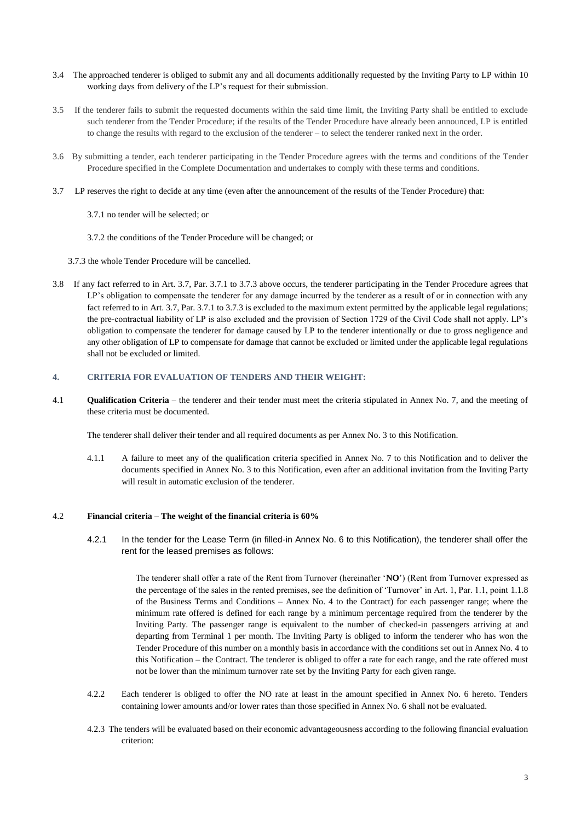- 3.4 The approached tenderer is obliged to submit any and all documents additionally requested by the Inviting Party to LP within 10 working days from delivery of the LP's request for their submission.
- 3.5 If the tenderer fails to submit the requested documents within the said time limit, the Inviting Party shall be entitled to exclude such tenderer from the Tender Procedure; if the results of the Tender Procedure have already been announced, LP is entitled to change the results with regard to the exclusion of the tenderer – to select the tenderer ranked next in the order.
- 3.6 By submitting a tender, each tenderer participating in the Tender Procedure agrees with the terms and conditions of the Tender Procedure specified in the Complete Documentation and undertakes to comply with these terms and conditions.
- 3.7 LP reserves the right to decide at any time (even after the announcement of the results of the Tender Procedure) that:
	- 3.7.1 no tender will be selected; or
	- 3.7.2 the conditions of the Tender Procedure will be changed; or
	- 3.7.3 the whole Tender Procedure will be cancelled.
- 3.8 If any fact referred to in Art. 3.7, Par. 3.7.1 to 3.7.3 above occurs, the tenderer participating in the Tender Procedure agrees that LP's obligation to compensate the tenderer for any damage incurred by the tenderer as a result of or in connection with any fact referred to in Art. 3.7, Par. 3.7.1 to 3.7.3 is excluded to the maximum extent permitted by the applicable legal regulations; the pre-contractual liability of LP is also excluded and the provision of Section 1729 of the Civil Code shall not apply. LP's obligation to compensate the tenderer for damage caused by LP to the tenderer intentionally or due to gross negligence and any other obligation of LP to compensate for damage that cannot be excluded or limited under the applicable legal regulations shall not be excluded or limited.

#### **4. CRITERIA FOR EVALUATION OF TENDERS AND THEIR WEIGHT:**

4.1 **Qualification Criteria** – the tenderer and their tender must meet the criteria stipulated in Annex No. 7, and the meeting of these criteria must be documented.

The tenderer shall deliver their tender and all required documents as per Annex No. 3 to this Notification.

4.1.1 A failure to meet any of the qualification criteria specified in Annex No. 7 to this Notification and to deliver the documents specified in Annex No. 3 to this Notification, even after an additional invitation from the Inviting Party will result in automatic exclusion of the tenderer.

#### 4.2 **Financial criteria – The weight of the financial criteria is 60%**

4.2.1 In the tender for the Lease Term (in filled-in Annex No. 6 to this Notification), the tenderer shall offer the rent for the leased premises as follows:

> The tenderer shall offer a rate of the Rent from Turnover (hereinafter '**NO**') (Rent from Turnover expressed as the percentage of the sales in the rented premises, see the definition of 'Turnover' in Art. 1, Par. 1.1, point 1.1.8 of the Business Terms and Conditions – Annex No. 4 to the Contract) for each passenger range; where the minimum rate offered is defined for each range by a minimum percentage required from the tenderer by the Inviting Party. The passenger range is equivalent to the number of checked-in passengers arriving at and departing from Terminal 1 per month. The Inviting Party is obliged to inform the tenderer who has won the Tender Procedure of this number on a monthly basis in accordance with the conditions set out in Annex No. 4 to this Notification – the Contract. The tenderer is obliged to offer a rate for each range, and the rate offered must not be lower than the minimum turnover rate set by the Inviting Party for each given range.

- 4.2.2 Each tenderer is obliged to offer the NO rate at least in the amount specified in Annex No. 6 hereto. Tenders containing lower amounts and/or lower rates than those specified in Annex No. 6 shall not be evaluated.
- 4.2.3 The tenders will be evaluated based on their economic advantageousness according to the following financial evaluation criterion: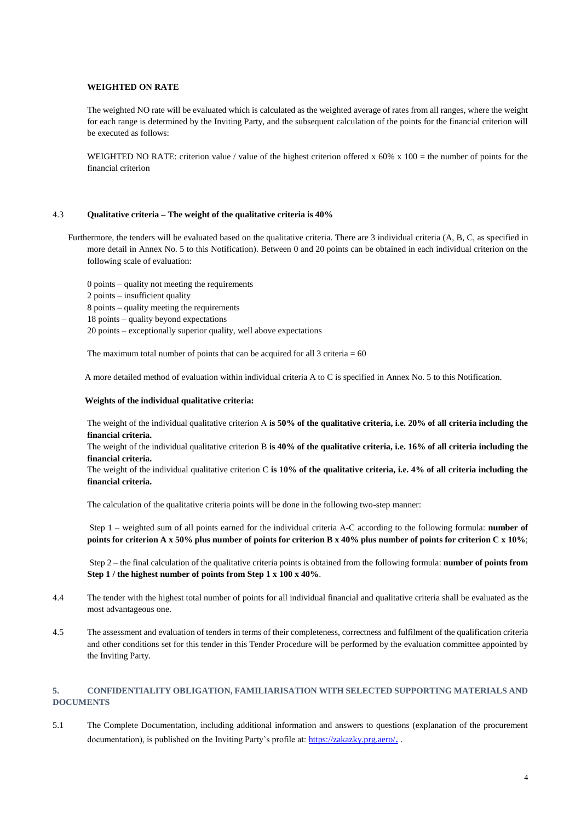### **WEIGHTED ON RATE**

The weighted NO rate will be evaluated which is calculated as the weighted average of rates from all ranges, where the weight for each range is determined by the Inviting Party, and the subsequent calculation of the points for the financial criterion will be executed as follows:

WEIGHTED NO RATE: criterion value / value of the highest criterion offered x  $60\%$  x  $100$  = the number of points for the financial criterion

#### 4.3 **Qualitative criteria – The weight of the qualitative criteria is 40%**

 Furthermore, the tenders will be evaluated based on the qualitative criteria. There are 3 individual criteria (A, B, C, as specified in more detail in Annex No. 5 to this Notification). Between 0 and 20 points can be obtained in each individual criterion on the following scale of evaluation:

0 points – quality not meeting the requirements 2 points – insufficient quality 8 points – quality meeting the requirements 18 points – quality beyond expectations 20 points – exceptionally superior quality, well above expectations

The maximum total number of points that can be acquired for all  $3$  criteria = 60

A more detailed method of evaluation within individual criteria A to C is specified in Annex No. 5 to this Notification.

## **Weights of the individual qualitative criteria:**

The weight of the individual qualitative criterion A **is 50% of the qualitative criteria, i.e. 20% of all criteria including the financial criteria.**

The weight of the individual qualitative criterion B **is 40% of the qualitative criteria, i.e. 16% of all criteria including the financial criteria.**

The weight of the individual qualitative criterion C **is 10% of the qualitative criteria, i.e. 4% of all criteria including the financial criteria.**

The calculation of the qualitative criteria points will be done in the following two-step manner:

Step 1 – weighted sum of all points earned for the individual criteria A-C according to the following formula: **number of points for criterion A x 50% plus number of points for criterion B x 40% plus number of points for criterion C x 10%**;

Step 2 – the final calculation of the qualitative criteria points is obtained from the following formula: **number of points from Step 1 / the highest number of points from Step 1 x 100 x 40%**.

- 4.4 The tender with the highest total number of points for all individual financial and qualitative criteria shall be evaluated as the most advantageous one.
- 4.5 The assessment and evaluation of tenders in terms of their completeness, correctness and fulfilment of the qualification criteria and other conditions set for this tender in this Tender Procedure will be performed by the evaluation committee appointed by the Inviting Party.

# **5. CONFIDENTIALITY OBLIGATION, FAMILIARISATION WITH SELECTED SUPPORTING MATERIALS AND DOCUMENTS**

5.1 The Complete Documentation, including additional information and answers to questions (explanation of the procurement documentation), is published on the Inviting Party's profile at: [https://zakazky.prg.aero/](https://zakazky.prg.aero/contract_search.html)...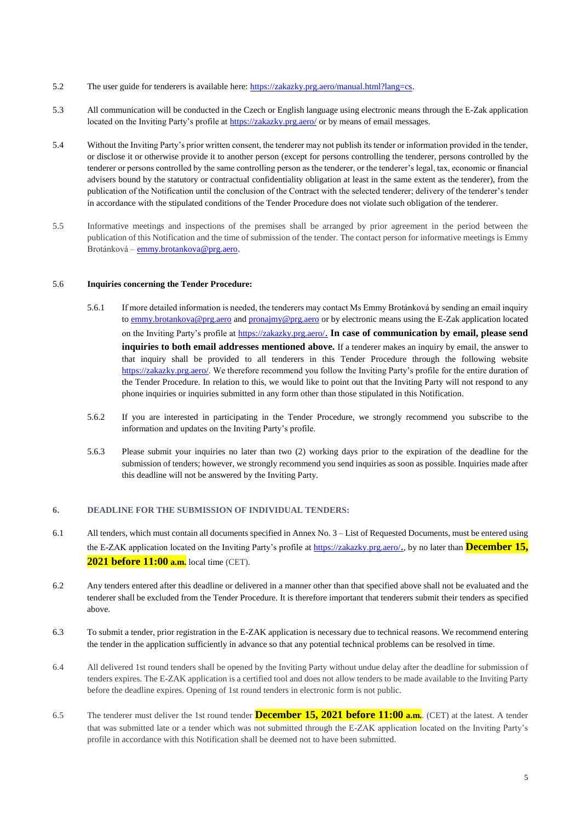- 5.2 The user guide for tenderers is available here[: https://zakazky.prg.aero/manual.html?lang=cs.](https://zakazky.cah.cz/manual.html?lang=cs)
- 5.3 All communication will be conducted in the Czech or English language using electronic means through the E-Zak application located on the Inviting Party's profile a[t https://zakazky.prg.aero/](https://zakazky.prg.aero/contract_search.html) or by means of email messages.
- 5.4 Without the Inviting Party's prior written consent, the tenderer may not publish its tender or information provided in the tender, or disclose it or otherwise provide it to another person (except for persons controlling the tenderer, persons controlled by the tenderer or persons controlled by the same controlling person as the tenderer, or the tenderer's legal, tax, economic or financial advisers bound by the statutory or contractual confidentiality obligation at least in the same extent as the tenderer), from the publication of the Notification until the conclusion of the Contract with the selected tenderer; delivery of the tenderer's tender in accordance with the stipulated conditions of the Tender Procedure does not violate such obligation of the tenderer.
- 5.5 Informative meetings and inspections of the premises shall be arranged by prior agreement in the period between the publication of this Notification and the time of submission of the tender. The contact person for informative meetings is Emmy Brotánková – [emmy.brotankova@prg.aero.](mailto:emmy.brotankova@prg.aero)

#### 5.6 **Inquiries concerning the Tender Procedure:**

- 5.6.1 If more detailed information is needed, the tenderers may contact Ms Emmy Brotánková by sending an email inquiry to [emmy.brotankova@prg.aero](mailto:emmy.brotankova@prg.aero) and [pronajmy@prg.aero](mailto:pronajmy@prg.aero) or by electronic means using the E-Zak application located on the Inviting Party's profile at [https://zakazky.prg.aero/](https://zakazky.prg.aero/contract_search.html). **In case of communication by email, please send inquiries to both email addresses mentioned above.** If a tenderer makes an inquiry by email, the answer to that inquiry shall be provided to all tenderers in this Tender Procedure through the following website [https://zakazky.prg.aero/.](https://zakazky.prg.aero/) We therefore recommend you follow the Inviting Party's profile for the entire duration of the Tender Procedure. In relation to this, we would like to point out that the Inviting Party will not respond to any phone inquiries or inquiries submitted in any form other than those stipulated in this Notification.
- 5.6.2 If you are interested in participating in the Tender Procedure, we strongly recommend you subscribe to the information and updates on the Inviting Party's profile.
- 5.6.3 Please submit your inquiries no later than two (2) working days prior to the expiration of the deadline for the submission of tenders; however, we strongly recommend you send inquiries as soon as possible. Inquiries made after this deadline will not be answered by the Inviting Party.

# **6. DEADLINE FOR THE SUBMISSION OF INDIVIDUAL TENDERS:**

- 6.1 All tenders, which must contain all documents specified in Annex No. 3 List of Requested Documents, must be entered using the E-ZAK application located on the Inviting Party's profile a[t https://zakazky.prg.aero/](https://zakazky.prg.aero/contract_search.html)., by no later than **December 15, 2021 before 11:00 a.m.** local time (CET).
- 6.2 Any tenders entered after this deadline or delivered in a manner other than that specified above shall not be evaluated and the tenderer shall be excluded from the Tender Procedure. It is therefore important that tenderers submit their tenders as specified above.
- 6.3 To submit a tender, prior registration in the E-ZAK application is necessary due to technical reasons. We recommend entering the tender in the application sufficiently in advance so that any potential technical problems can be resolved in time.
- 6.4 All delivered 1st round tenders shall be opened by the Inviting Party without undue delay after the deadline for submission of tenders expires. The E-ZAK application is a certified tool and does not allow tenders to be made available to the Inviting Party before the deadline expires. Opening of 1st round tenders in electronic form is not public.
- 6.5 The tenderer must deliver the 1st round tender **December 15, 2021 before 11:00 a.m.**. (CET) at the latest. A tender that was submitted late or a tender which was not submitted through the E-ZAK application located on the Inviting Party's profile in accordance with this Notification shall be deemed not to have been submitted.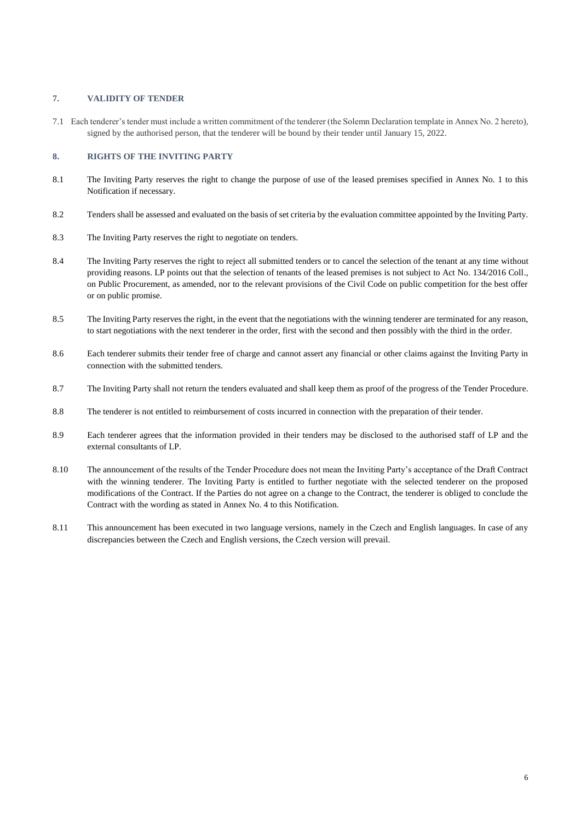### **7. VALIDITY OF TENDER**

7.1 Each tenderer's tender must include a written commitment of the tenderer (the Solemn Declaration template in Annex No. 2 hereto), signed by the authorised person, that the tenderer will be bound by their tender until January 15, 2022.

# **8. RIGHTS OF THE INVITING PARTY**

- 8.1 The Inviting Party reserves the right to change the purpose of use of the leased premises specified in Annex No. 1 to this Notification if necessary.
- 8.2 Tenders shall be assessed and evaluated on the basis of set criteria by the evaluation committee appointed by the Inviting Party.
- 8.3 The Inviting Party reserves the right to negotiate on tenders.
- 8.4 The Inviting Party reserves the right to reject all submitted tenders or to cancel the selection of the tenant at any time without providing reasons. LP points out that the selection of tenants of the leased premises is not subject to Act No. 134/2016 Coll., on Public Procurement, as amended, nor to the relevant provisions of the Civil Code on public competition for the best offer or on public promise.
- 8.5 The Inviting Party reserves the right, in the event that the negotiations with the winning tenderer are terminated for any reason, to start negotiations with the next tenderer in the order, first with the second and then possibly with the third in the order.
- 8.6 Each tenderer submits their tender free of charge and cannot assert any financial or other claims against the Inviting Party in connection with the submitted tenders.
- 8.7 The Inviting Party shall not return the tenders evaluated and shall keep them as proof of the progress of the Tender Procedure.
- 8.8 The tenderer is not entitled to reimbursement of costs incurred in connection with the preparation of their tender.
- 8.9 Each tenderer agrees that the information provided in their tenders may be disclosed to the authorised staff of LP and the external consultants of LP.
- 8.10 The announcement of the results of the Tender Procedure does not mean the Inviting Party's acceptance of the Draft Contract with the winning tenderer. The Inviting Party is entitled to further negotiate with the selected tenderer on the proposed modifications of the Contract. If the Parties do not agree on a change to the Contract, the tenderer is obliged to conclude the Contract with the wording as stated in Annex No. 4 to this Notification.
- 8.11 This announcement has been executed in two language versions, namely in the Czech and English languages. In case of any discrepancies between the Czech and English versions, the Czech version will prevail.